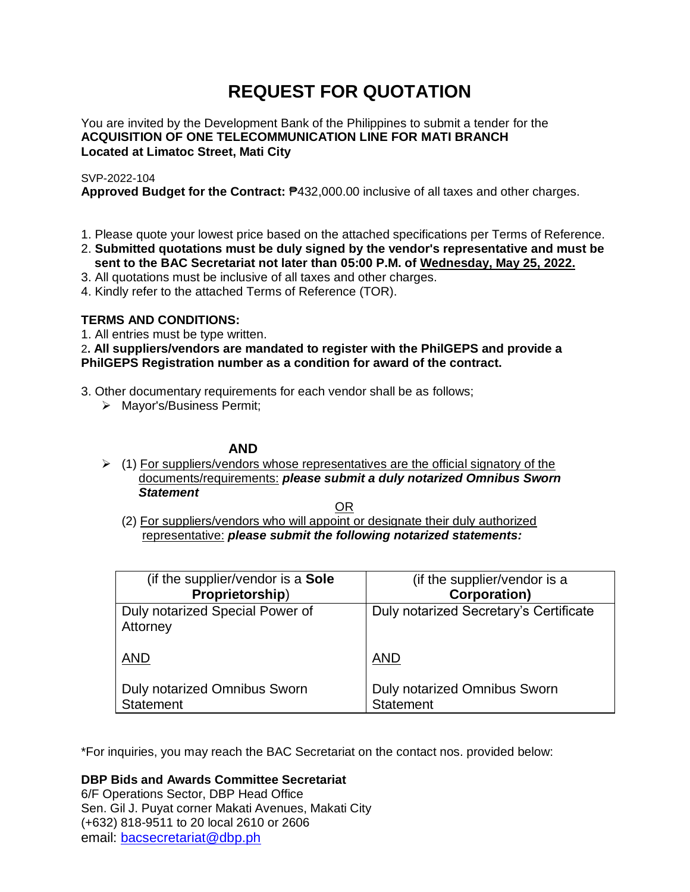# **REQUEST FOR QUOTATION**

You are invited by the Development Bank of the Philippines to submit a tender for the **ACQUISITION OF ONE TELECOMMUNICATION LINE FOR MATI BRANCH Located at Limatoc Street, Mati City**

### SVP-2022-104

**Approved Budget for the Contract:** ₱432,000.00 inclusive of all taxes and other charges.

- 1. Please quote your lowest price based on the attached specifications per Terms of Reference.
- 2. **Submitted quotations must be duly signed by the vendor's representative and must be sent to the BAC Secretariat not later than 05:00 P.M. of Wednesday, May 25, 2022.**
- 3. All quotations must be inclusive of all taxes and other charges.
- 4. Kindly refer to the attached Terms of Reference (TOR).

## **TERMS AND CONDITIONS:**

1. All entries must be type written.

2**. All suppliers/vendors are mandated to register with the PhilGEPS and provide a PhilGEPS Registration number as a condition for award of the contract.**

- 3. Other documentary requirements for each vendor shall be as follows;
	- > Mayor's/Business Permit;

### **AND**

 $\geq$  (1) For suppliers/vendors whose representatives are the official signatory of the documents/requirements: *please submit a duly notarized Omnibus Sworn Statement*

<u>OR Starting and the Starting OR Starting</u>

(2) For suppliers/vendors who will appoint or designate their duly authorized representative: *please submit the following notarized statements:*

| (if the supplier/vendor is a Sole           | (if the supplier/vendor is a           |
|---------------------------------------------|----------------------------------------|
| Proprietorship)                             | <b>Corporation)</b>                    |
| Duly notarized Special Power of<br>Attorney | Duly notarized Secretary's Certificate |
| <b>AND</b>                                  | <b>AND</b>                             |
| Duly notarized Omnibus Sworn                | Duly notarized Omnibus Sworn           |
| <b>Statement</b>                            | <b>Statement</b>                       |

\*For inquiries, you may reach the BAC Secretariat on the contact nos. provided below:

**DBP Bids and Awards Committee Secretariat** 

6/F Operations Sector, DBP Head Office Sen. Gil J. Puyat corner Makati Avenues, Makati City (+632) 818-9511 to 20 local 2610 or 2606 email: [bacsecretariat@dbp.ph](mailto:bacsecretariat@dbp.ph)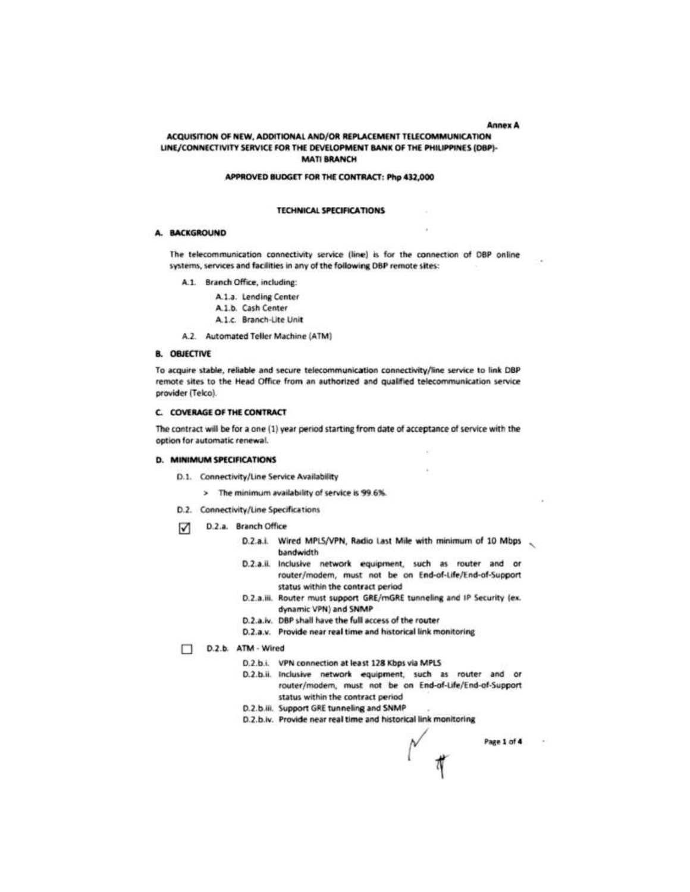**Annex A** 

#### ACQUISITION OF NEW, ADDITIONAL AND/OR REPLACEMENT TELECOMMUNICATION LINE/CONNECTIVITY SERVICE FOR THE DEVELOPMENT BANK OF THE PHILIPPINES (DBP)-**MATI BRANCH**

#### APPROVED BUDGET FOR THE CONTRACT: Php 432,000

#### **TECHNICAL SPECIFICATIONS**

#### A. BACKGROUND

The telecommunication connectivity service (line) is for the connection of DBP online systems, services and facilities in any of the following DBP remote sites:

A.1. Branch Office, including:

A.1.a. Lending Center A.1.b. Cash Center A.1.c. Branch-Lite Unit

A.2. Automated Teller Machine (ATM)

#### **B. OBJECTIVE**

To acquire stable, reliable and secure telecommunication connectivity/line service to link DBP remote sites to the Head Office from an authorized and qualified telecommunication service provider (Telco).

#### C. COVERAGE OF THE CONTRACT

The contract will be for a one (1) year period starting from date of acceptance of service with the option for automatic renewal.

#### D. MINIMUM SPECIFICATIONS

- D.1. Connectivity/Line Service Availability
	- > The minimum availability of service is 99.6%.
- D.2. Connectivity/Line Specifications
- D.2.a. Branch Office М.
	- D.2.a.i. Wired MPLS/VPN, Radio Last Mile with minimum of 10 Mbps bandwidth
	- D.2.a.ii. Inclusive network equipment, such as router and or router/modem, must not be on End-of-Life/End-of-Support status within the contract period
	- D.2.a.iii. Router must support GRE/mGRE tunneling and IP Security (ex. dynamic VPN) and SNMP
	- D.2.a.iv. DBP shall have the full access of the router
	- D.2.a.v. Provide near real time and historical link monitoring

D.2.b. ATM - Wired

- D.2.b.i. VPN connection at least 128 Kbps via MPLS
- D.2.b.ii. Inclusive network equipment, such as router and or router/modem, must not be on End-of-Life/End-of-Support status within the contract period
- D.2.b.iii. Support GRE tunneling and SNMP
- D.2.b.iv. Provide near real time and historical link monitoring

Page 1 of 4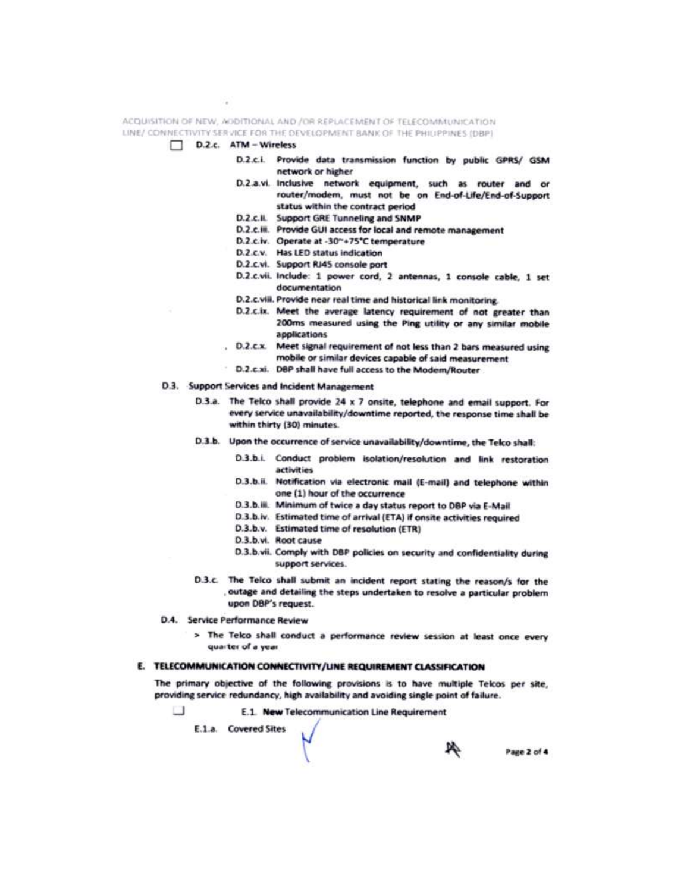ACQUISITION OF NEW, ADDITIONAL AND /OR REPLACEMENT OF TELECOMMUNICATION LINE/ CONNECTIVITY SERVICE FOR THE DEVELOPMENT BANK OF THE PHILIPPINES (DBP)



- D.2.c.i. Provide data transmission function by public GPRS/ GSM network or higher
- D.2.a.vi. Inclusive network equipment, such as router and or router/modem, must not be on End-of-Life/End-of-Support status within the contract period
- D.2.c.ii. Support GRE Tunneling and SNMP
- D.2.c.iii. Provide GUI access for local and remote management
- D.2.c.iv. Operate at -30"+75°C temperature
- D.2.c.v. Has LED status indication
- D.2.c.vi. Support RJ45 console port
- D.2.c.vii. Include: 1 power cord, 2 antennas, 1 console cable, 1 set documentation
- D.2.c.viii. Provide near real time and historical link monitoring.
- D.2.c.ix. Meet the average latency requirement of not greater than 200ms measured using the Ping utility or any similar mobile applications
- . D.2.c.x. Meet signal requirement of not less than 2 bars measured using mobile or similar devices capable of said measurement
	- D.2.c.xi. DBP shall have full access to the Modem/Router
- D.3. Support Services and Incident Management
	- D.3.a. The Telco shall provide 24 x 7 onsite, telephone and email support. For every service unavailability/downtime reported, the response time shall be within thirty (30) minutes.
	- D.3.b. Upon the occurrence of service unavailability/downtime, the Telco shall:
		- D.3.b.i. Conduct problem isolation/resolution and link restoration activities
		- D.3.b.ii. Notification via electronic mail (E-mail) and telephone within one (1) hour of the occurrence
		- D.3.b.iii. Minimum of twice a day status report to DBP via E-Mail
		- D.3.b.iv. Estimated time of arrival (ETA) if onsite activities required
		- D.3.b.v. Estimated time of resolution (ETR)
		- D.3.b.vi. Root cause
		- D.3.b.vii. Comply with DBP policies on security and confidentiality during support services.
	- D.3.c. The Telco shall submit an incident report stating the reason/s for the outage and detailing the steps undertaken to resolve a particular problem upon DBP's request.
- D.4. Service Performance Review
	- > The Telco shall conduct a performance review session at least once every quarter of a year.

### E. TELECOMMUNICATION CONNECTIVITY/LINE REQUIREMENT CLASSIFICATION

The primary objective of the following provisions is to have multiple Telcos per site, providing service redundancy, high availability and avoiding single point of failure.

n E.1. New Telecommunication Line Requirement

E.1.a. Covered Sites

Page 2 of 4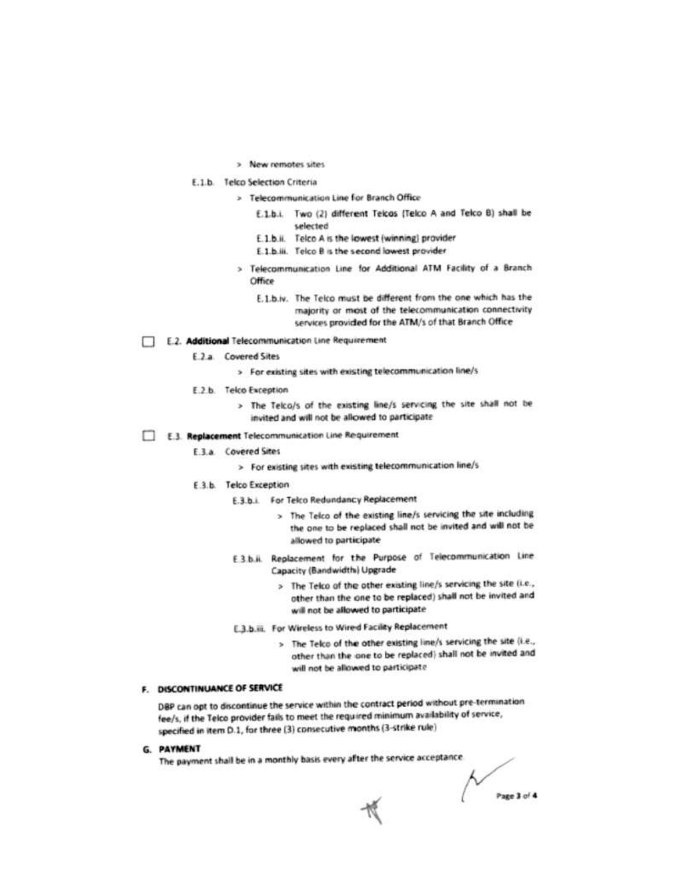- > New remotes sites
- E.1.b. Telco Selection Criteria
	- > Telecommunication Line for Branch Office
		- E.1.b.i. Two (2) different Teicos (Telco A and Telco B) shall be selected
		- E.1.b.ii. Telco A is the lowest (winning) provider
		- E.1.b.iii. Telco B is the second lowest provider
	- > Telecommunication Line for Additional ATM Facility of a Branch Office
		- E.1.b.iv. The Telco must be different from the one which has the majority or most of the telecommunication connectivity services provided for the ATM/s of that Branch Office
- E.2. Additional Telecommunication Line Requirement
	- E.2.a. Covered Sites
		- > For existing sites with existing telecommunication line/s
	- E.2.b. Telco Exception
		- > The Telco/s of the existing line/s servicing the site shall not be invited and will not be allowed to participate
- E.3. Replacement Telecommunication Line Requirement
	- E.3.a. Covered Sites
		- > For existing sites with existing telecommunication line/s
	- E.3.b. Telco Exception
		- E.3.b.i. For Telco Redundancy Replacement
			- > The Telco of the existing line/s servicing the site including the one to be replaced shall not be invited and will not be allowed to participate
		- E3b.ii. Replacement for the Purpose of Telecommunication Line Capacity (Bandwidth) Upgrade
			- > The Telco of the other existing line/s servicing the site (i.e., other than the one to be replaced) shall not be invited and will not be allowed to participate
		- E.3.b.iii. For Wireless to Wired Facility Replacement
			- > The Telco of the other existing line/s servicing the site (i.e., other than the one to be replaced) shall not be invited and will not be allowed to participate

### F. DISCONTINUANCE OF SERVICE

DBP can opt to discontinue the service within the contract period without pre-termination fee/s, if the Telco provider fails to meet the required minimum availability of service, specified in item D.1, for three (3) consecutive months (3-strike rule)

G. PAYMENT

The payment shall be in a monthly basis every after the service acceptance.

 $\sim$ Page 3 of 4